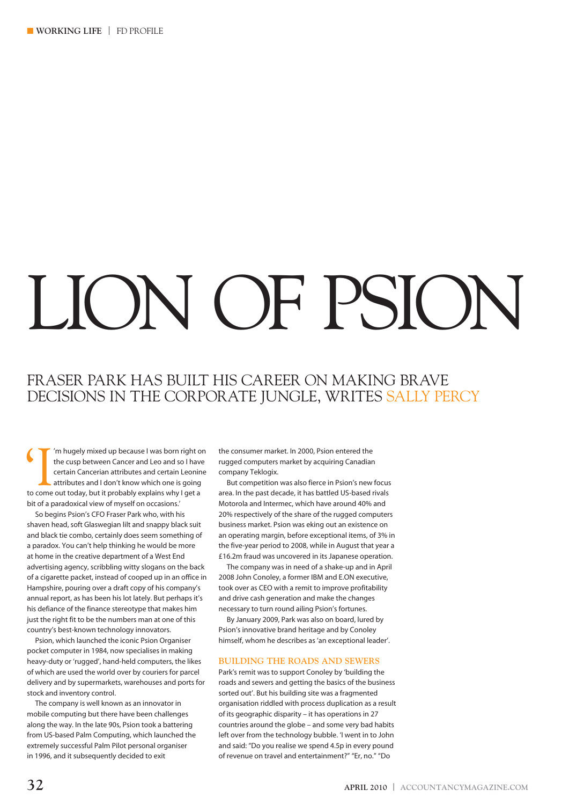# LION OF PSION

## FRASER PARK HAS BUILT HIS CAREER ON MAKING BRAVE DECISIONS IN THE CORPORATE JUNGLE, WRITES SALLY PERCY

(I'm hugely mixed up because I was born right on the cusp between Cancer and Leo and so I have certain Cancerian attributes and I don't know which one is going to come out today, but it probably explains why I get a the cusp between Cancer and Leo and so I have certain Cancerian attributes and certain Leonine attributes and I don't know which one is going bit of a paradoxical view of myself on occasions.'

So begins Psion's CFO Fraser Park who, with his shaven head, soft Glaswegian lilt and snappy black suit and black tie combo, certainly does seem something of a paradox. You can't help thinking he would be more at home in the creative department of a West End advertising agency, scribbling witty slogans on the back of a cigarette packet, instead of cooped up in an office in Hampshire, pouring over a draft copy of his company's annual report, as has been his lot lately. But perhaps it's his defiance of the finance stereotype that makes him just the right fit to be the numbers man at one of this country's best-known technology innovators.

Psion, which launched the iconic Psion Organiser pocket computer in 1984, now specialises in making heavy-duty or 'rugged', hand-held computers, the likes of which are used the world over by couriers for parcel delivery and by supermarkets, warehouses and ports for stock and inventory control.

The company is well known as an innovator in mobile computing but there have been challenges along the way. In the late 90s, Psion took a battering from US-based Palm Computing, which launched the extremely successful Palm Pilot personal organiser in 1996, and it subsequently decided to exit

the consumer market. In 2000, Psion entered the rugged computers market by acquiring Canadian company Teklogix.

But competition was also fierce in Psion's new focus area. In the past decade, it has battled US-based rivals Motorola and Intermec, which have around 40% and 20% respectively of the share of the rugged computers business market. Psion was eking out an existence on an operating margin, before exceptional items, of 3% in the five-year period to 2008, while in August that year a £16.2m fraud was uncovered in its Japanese operation.

The company was in need of a shake-up and in April 2008 John Conoley, a former IBM and E.ON executive, took over as CEO with a remit to improve profitability and drive cash generation and make the changes necessary to turn round ailing Psion's fortunes.

By January 2009, Park was also on board, lured by Psion's innovative brand heritage and by Conoley himself, whom he describes as 'an exceptional leader'.

#### **BUILDING THE ROADS AND SEWERS**

Park's remit was to support Conoley by 'building the roads and sewers and getting the basics of the business sorted out'. But his building site was a fragmented organisation riddled with process duplication as a result of its geographic disparity – it has operations in 27 countries around the globe – and some very bad habits left over from the technology bubble. 'I went in to John and said: "Do you realise we spend 4.5p in every pound of revenue on travel and entertainment?" "Er, no." "Do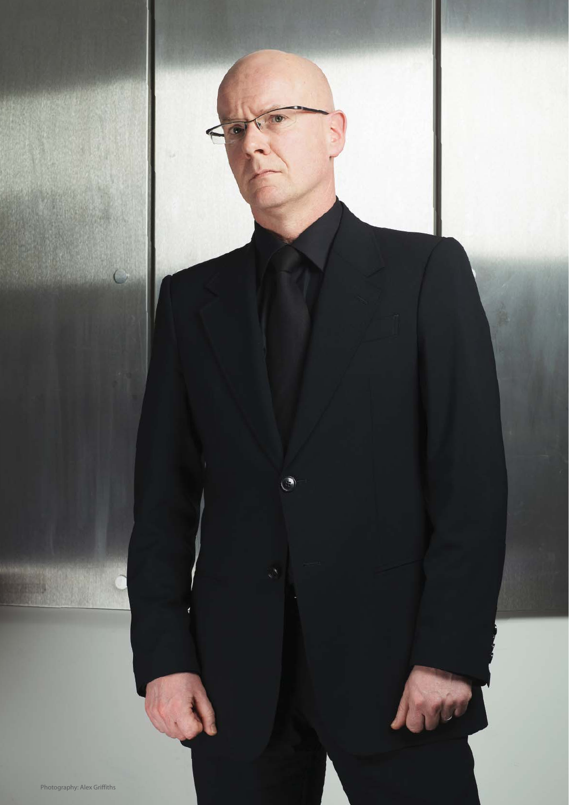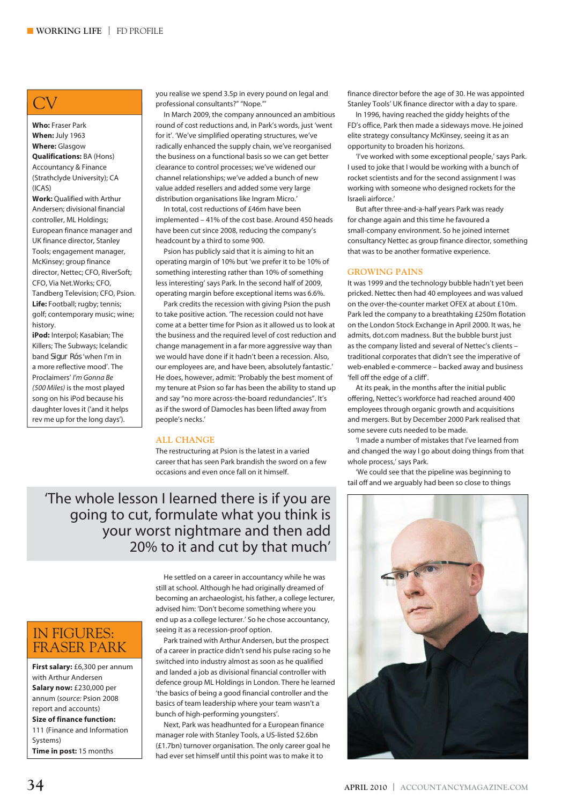# CV

**Who:** Fraser Park **When:** July 1963 **Where:** Glasgow **Qualifications:** BA (Hons) Accountancy & Finance (Strathclyde University); CA  $(ICAS)$ 

**Work:** Qualified with Arthur Andersen; divisional financial controller, ML Holdings; European finance manager and UK finance director, Stanley Tools; engagement manager, McKinsey; group finance director, Nettec; CFO, RiverSoft; CFO, Via Net.Works; CFO, Tandberg Television; CFO, Psion. **Life:** Football; rugby; tennis; golf; contemporary music; wine; history.

**iPod:** Interpol; Kasabian; The Killers; The Subways; Icelandic band Sigur Rós 'when I'm in a more reflective mood'. The Proclaimers' *I'm Gonna Be (500 Miles)* is the most played song on his iPod because his daughter loves it ('and it helps rev me up for the long days').

you realise we spend 3.5p in every pound on legal and professional consultants?" "Nope."'

In March 2009, the company announced an ambitious round of cost reductions and, in Park's words, just 'went for it'. 'We've simplified operating structures, we've radically enhanced the supply chain, we've reorganised the business on a functional basis so we can get better clearance to control processes; we've widened our channel relationships; we've added a bunch of new value added resellers and added some very large distribution organisations like Ingram Micro.'

In total, cost reductions of £46m have been implemented – 41% of the cost base. Around 450 heads have been cut since 2008, reducing the company's headcount by a third to some 900.

Psion has publicly said that it is aiming to hit an operating margin of 10% but 'we prefer it to be 10% of something interesting rather than 10% of something less interesting' says Park. In the second half of 2009, operating margin before exceptional items was 6.6%.

Park credits the recession with giving Psion the push to take positive action. 'The recession could not have come at a better time for Psion as it allowed us to look at the business and the required level of cost reduction and change management in a far more aggressive way than we would have done if it hadn't been a recession. Also, our employees are, and have been, absolutely fantastic.' He does, however, admit: 'Probably the best moment of my tenure at Psion so far has been the ability to stand up and say "no more across-the-board redundancies". It's as if the sword of Damocles has been lifted away from people's necks.'

#### **ALL CHANGE**

The restructuring at Psion is the latest in a varied career that has seen Park brandish the sword on a few occasions and even once fall on it himself.

'The whole lesson I learned there is if you are going to cut, formulate what you think is your worst nightmare and then add 20% to it and cut by that much'

## IN FIGURES: FRASER PARK

**First salary:** £6,300 per annum with Arthur Andersen **Salary now:** £230,000 per annum (*source:* Psion 2008 report and accounts) **Size of finance function:** 111 (Finance and Information Systems) **Time in post:** 15 months

He settled on a career in accountancy while he was still at school. Although he had originally dreamed of becoming an archaeologist, his father, a college lecturer, advised him: 'Don't become something where you end up as a college lecturer.' So he chose accountancy, seeing it as a recession-proof option.

Park trained with Arthur Andersen, but the prospect of a career in practice didn't send his pulse racing so he switched into industry almost as soon as he qualified and landed a job as divisional financial controller with defence group ML Holdings in London. There he learned 'the basics of being a good financial controller and the basics of team leadership where your team wasn't a bunch of high-performing youngsters'.

Next, Park was headhunted for a European finance manager role with Stanley Tools, a US-listed \$2.6bn (£1.7bn) turnover organisation. The only career goal he had ever set himself until this point was to make it to

finance director before the age of 30. He was appointed Stanley Tools' UK finance director with a day to spare.

In 1996, having reached the giddy heights of the FD's office, Park then made a sideways move. He joined elite strategy consultancy McKinsey, seeing it as an opportunity to broaden his horizons.

'I've worked with some exceptional people,' says Park. I used to joke that I would be working with a bunch of rocket scientists and for the second assignment I was working with someone who designed rockets for the Israeli airforce.'

But after three-and-a-half years Park was ready for change again and this time he favoured a small-company environment. So he joined internet consultancy Nettec as group finance director, something that was to be another formative experience.

#### **GROWING PAINS**

It was 1999 and the technology bubble hadn't yet been pricked. Nettec then had 40 employees and was valued on the over-the-counter market OFEX at about £10m. Park led the company to a breathtaking £250m flotation on the London Stock Exchange in April 2000. It was, he admits, dot.com madness. But the bubble burst just as the company listed and several of Nettec's clients – traditional corporates that didn't see the imperative of web-enabled e-commerce – backed away and business 'fell off the edge of a cliff'.

At its peak, in the months after the initial public offering, Nettec's workforce had reached around 400 employees through organic growth and acquisitions and mergers. But by December 2000 Park realised that some severe cuts needed to be made.

'I made a number of mistakes that I've learned from and changed the way I go about doing things from that whole process,' says Park.

'We could see that the pipeline was beginning to tail off and we arguably had been so close to things